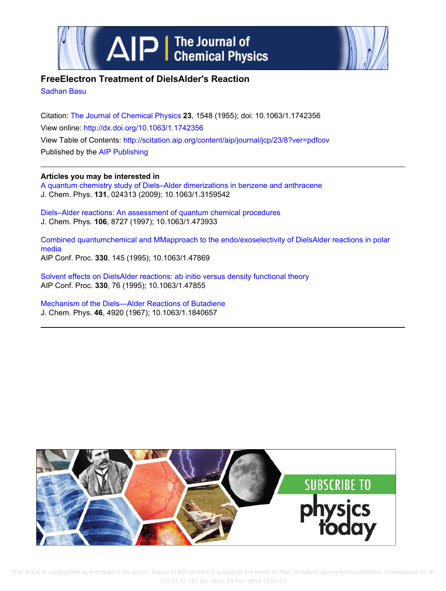



# **FreeElectron Treatment of DielsAlder's Reaction**

Sadhan Basu

Citation: The Journal of Chemical Physics **23**, 1548 (1955); doi: 10.1063/1.1742356 View online: http://dx.doi.org/10.1063/1.1742356 View Table of Contents: http://scitation.aip.org/content/aip/journal/jcp/23/8?ver=pdfcov Published by the AIP Publishing

## **Articles you may be interested in**

A quantum chemistry study of Diels–Alder dimerizations in benzene and anthracene J. Chem. Phys. **131**, 024313 (2009); 10.1063/1.3159542

Diels–Alder reactions: An assessment of quantum chemical procedures J. Chem. Phys. **106**, 8727 (1997); 10.1063/1.473933

Combined quantumchemical and MMapproach to the endo/exoselectivity of DielsAlder reactions in polar media AIP Conf. Proc. **330**, 145 (1995); 10.1063/1.47869

Solvent effects on DielsAlder reactions: ab initio versus density functional theory AIP Conf. Proc. **330**, 76 (1995); 10.1063/1.47855

Mechanism of the Diels—Alder Reactions of Butadiene J. Chem. Phys. **46**, 4920 (1967); 10.1063/1.1840657



 This article is copyrighted as indicated in the article. Reuse of AIP content is subject to the terms at: http://scitation.aip.org/termsconditions. Downloaded to IP: 129.24.51.181 On: Mon, 24 Nov 2014 13:04:53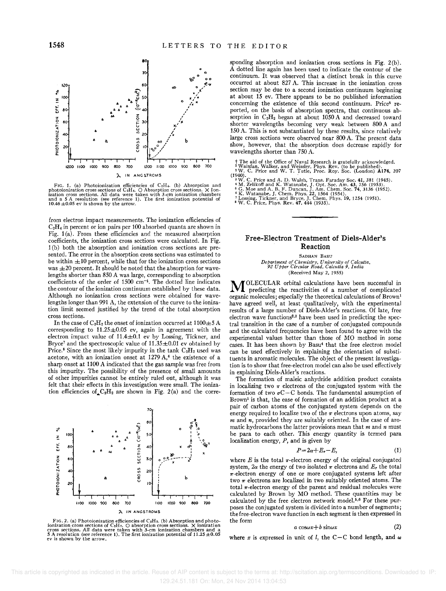

FrG. 1. (a) Photoionization efficiencies of CeH<sub>t</sub>. (b) Absorption and photoionization cross sections of CeH<sub>t</sub>, O Absorption cross sections. All data were taken with 3-cm ionization chambers izadion cross sections. All d

from electron impact measurements. The ionization efficiencies of  $C<sub>2</sub>H<sub>4</sub>$  in percent or ion pairs per 100 absorbed quanta are shown in Fig. 1 (a). From these efficiencies and the measured absorption coefficients, the ionization cross sections were calculated. In Fig. 1 (b) both the absorption and ionization cross sections are presented. The error in the absorption cross sections was estimated to be within  $\pm 10$  percent, while that for the ionization cross sections was  $\pm 20$  percent. It should be noted that the absorption for wavelengths shorter than 850 A was large, corresponding to absorption coefficients of the order of  $1500 \text{ cm}^{-1}$ . The dotted line indicates the contour of the ionization continuum established by these data. Although no ionization cross sections were obtained for wavelengths longer than 991 A, the extension of the curve to the ionization limit seemed justified by the trend of the total absorption cross sections.

In the case of C<sub>2</sub>H<sub>2</sub> the onset of ionization occurred at  $1100 \pm 5$  A corresponding to 11.25±0.05 ev, again in agreement with the electron impact value of  $11.4 \pm 0.1$  ev by Lossing, Tickner, and Bryce<sup>7</sup> and the spectroscopic value of  $11.35 \pm 0.01$  ev obtained by Price.<sup>8</sup> Since the most likely impurity in the tank  $C_2H_2$  used was acetone, with an ionization onset at  $1279$  A,<sup>6</sup> the existence of a sharp onset at 1100 A indicated that the gas sample was free from this impurity. The possibility of the presence of small amounts of other impurities cannot be entirely ruled out, although it was felt that their effects in this investigation were small. The ionization efficiencies of  $C_2H_2$  are shown in Fig. 2(a) and the corre-



FIG. 2. (a) Photoionization efficiencies of C<sub>2</sub>H<sub>2</sub>. (b) Absorption and photo-<br>ionization cross sections of C<sub>2</sub>H<sub>2</sub>. (C) absorption cross sections. X ionization<br>cross sections. All data were taken with 3-cm ionization c **ev is shown by the arrow.** 

sponding absorption and ionization cross sections in Fig. 2(b). A dotted line again has been used to indicate the contour of the continuum. It was observed that a distinct break in this curve occurred at about 827 A. This increase in the ionization cross section may be due to a second ionization continuum beginning at about 15 ev. There appears to be no published information concerning the existence of this second continuum. Price<sup>8</sup> reported, on the basis of absorption spectra, that continuous absorption in  $C_2H_2$  began at about 1050 A and decreased toward shorter wavelengths becoming very weak between 800 A and 150 A. This is not substantiated by these results, since relatively large cross sections were observed near 800 A. The present data show, however, that the absorption does decrease rapidly for wavelengths shorter than 750 A.

† The aid of the Office of Naval Research is gratefully acknowledged.<br><sup>1</sup> Wainfan, Walker, and Weissler, Phys. Rev. (to be published).<br><u>3 W</u>. C. Price and W. T. Tutle, Proc. Roy. Soc. (London) **A174**, 207 (1940).

- <sup>3</sup> W. C. Price and A. D. Walsh, Trans. Faraday Soc. 41, 381 (1945).<br>
<sup>4</sup> M. Zelikoff and K. Watanabe, J. Opt. Soc. Am. 43, 756 (1953).<br>
<sup>5</sup> G. Moe and A. B. F. Duncan, J. Am. Chem. Soc. 74, 3136 (1952).<br>
<sup>5</sup> K. Watanabe,
- 
- 
- 

### **Free-Electron Treatment of Diels-Alder's Reaction**

SADHAN BASU *Department of Chemistry, University of Calcutta, 92 Upper Circular Road, Calcutta* 9, *India*  (Received May 2, 1955)

MOLECULAR orbital calculations have been successful in predicting the reactivities of a number of complicated organic molecules; especially the theoretical calculations of Brown <sup>1</sup> have agreed well, at least qualitatively, with the experimental results of a large number of Diels-Alder's reactions. Of late, free electron wave functions<sup>2,3</sup> have been used in predicting the spectral transition in the case of a number of conjugated compounds and the calculated frequencies have been found to agree with the experimental values better than those of MO method in some cases. It has been shown by Basu<sup>4</sup> that the free electron model can be used effectively in explaining the orientation of substituents in aromatic molecules. The object of the present investigation is to show that free-electron model can also be used effectively in explaining Diels-Alder's reactions.

The formation of maleic anhydride addition product consists in localizing two  $\pi$  electrons of the conjugated system with the formation of two  $\sigma$ C-C bonds. The fundamental assumption of Brown! is that, the ease of formation of an addition product at a pair of carbon atoms of the conjugated system depends on the energy required to localize two of the  $\pi$  electrons upon atoms, say *m* and *n,* provided they are suitably oriented. In the case of aromatic hydrocarbons the latter provisions mean that *m* and *n* must be para to each other. This energy quantity is termed para localization energy, *P,* and is given by

$$
P = 2\alpha + E_r - E,\tag{1}
$$

where  $E$  is the total  $\pi$ -electron energy of the original conjugated system,  $2\alpha$  the energy of two isolated  $\pi$  electrons and  $E_r$  the total  $\pi$ -electron energy of one or more conjugated systems left after two  $\pi$  electrons are localized in two suitably oriented atoms. The total  $\pi$  -electron energy of the parent and residual molecules were calculated by Brown by MO method. These quantities may be calculated by the free electron network model.<sup>5,6</sup> For these purposes the conjugated system is divided into a number of segments; the free-electron wave function in each segment is then expressed in the form

#### $a \cos \omega x + b \sin \omega x$  (2)

where *x* is expressed in unit of *l*, the C-C bond length, and  $\omega$